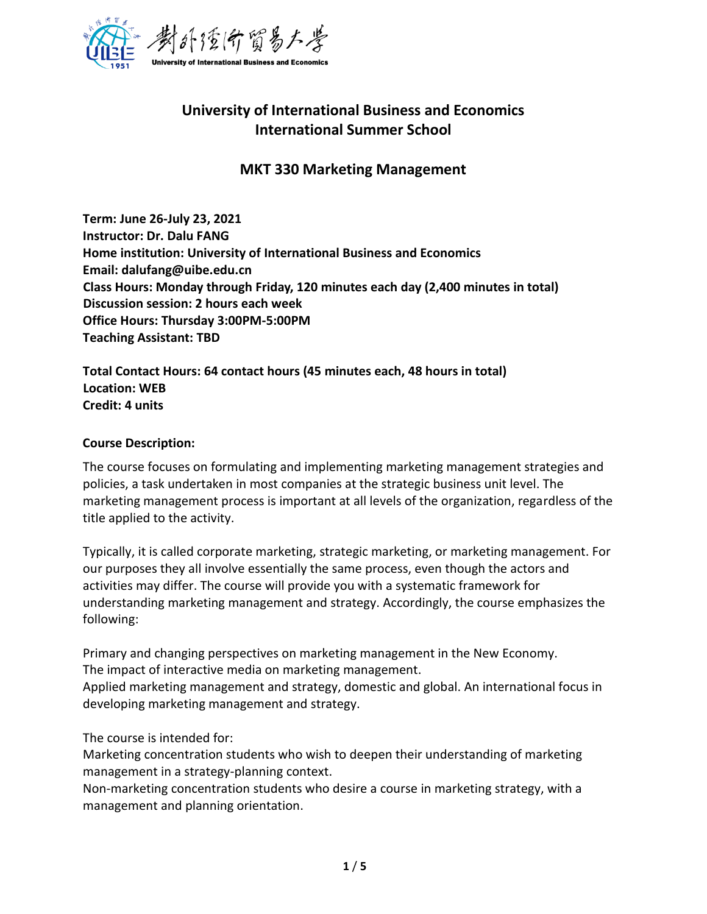

# **University of International Business and Economics International Summer School**

## **MKT 330 Marketing Management**

**Term: June 26-July 23, 2021 Instructor: Dr. Dalu FANG Home institution: University of International Business and Economics Email: dalufang@uibe.edu.cn Class Hours: Monday through Friday, 120 minutes each day (2,400 minutes in total) Discussion session: 2 hours each week Office Hours: Thursday 3:00PM-5:00PM Teaching Assistant: TBD**

**Total Contact Hours: 64 contact hours (45 minutes each, 48 hours in total) Location: WEB Credit: 4 units**

#### **Course Description:**

The course focuses on formulating and implementing marketing management strategies and policies, a task undertaken in most companies at the strategic business unit level. The marketing management process is important at all levels of the organization, regardless of the title applied to the activity.

Typically, it is called corporate marketing, strategic marketing, or marketing management. For our purposes they all involve essentially the same process, even though the actors and activities may differ. The course will provide you with a systematic framework for understanding marketing management and strategy. Accordingly, the course emphasizes the following:

Primary and changing perspectives on marketing management in the New Economy. The impact of interactive media on marketing management. Applied marketing management and strategy, domestic and global. An international focus in developing marketing management and strategy.

The course is intended for:

Marketing concentration students who wish to deepen their understanding of marketing management in a strategy-planning context.

Non-marketing concentration students who desire a course in marketing strategy, with a management and planning orientation.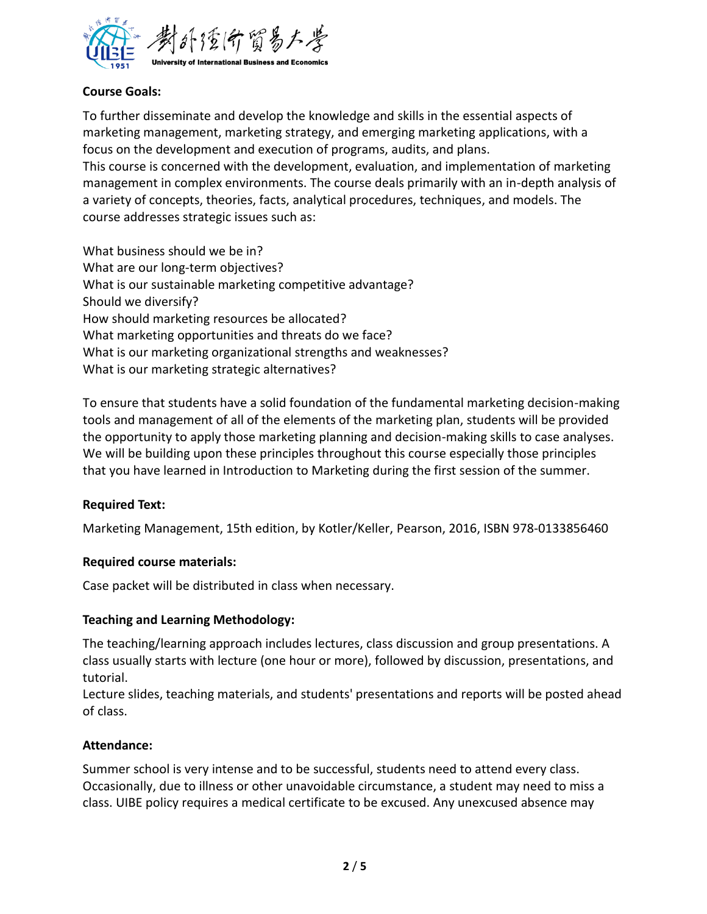

## **Course Goals:**

To further disseminate and develop the knowledge and skills in the essential aspects of marketing management, marketing strategy, and emerging marketing applications, with a focus on the development and execution of programs, audits, and plans. This course is concerned with the development, evaluation, and implementation of marketing management in complex environments. The course deals primarily with an in-depth analysis of a variety of concepts, theories, facts, analytical procedures, techniques, and models. The course addresses strategic issues such as:

What business should we be in? What are our long-term objectives? What is our sustainable marketing competitive advantage? Should we diversify? How should marketing resources be allocated? What marketing opportunities and threats do we face? What is our marketing organizational strengths and weaknesses? What is our marketing strategic alternatives?

To ensure that students have a solid foundation of the fundamental marketing decision-making tools and management of all of the elements of the marketing plan, students will be provided the opportunity to apply those marketing planning and decision-making skills to case analyses. We will be building upon these principles throughout this course especially those principles that you have learned in Introduction to Marketing during the first session of the summer.

#### **Required Text:**

Marketing Management, 15th edition, by Kotler/Keller, Pearson, 2016, ISBN 978-0133856460

#### **Required course materials:**

Case packet will be distributed in class when necessary.

#### **Teaching and Learning Methodology:**

The teaching/learning approach includes lectures, class discussion and group presentations. A class usually starts with lecture (one hour or more), followed by discussion, presentations, and tutorial.

Lecture slides, teaching materials, and students' presentations and reports will be posted ahead of class.

#### **Attendance:**

Summer school is very intense and to be successful, students need to attend every class. Occasionally, due to illness or other unavoidable circumstance, a student may need to miss a class. UIBE policy requires a medical certificate to be excused. Any unexcused absence may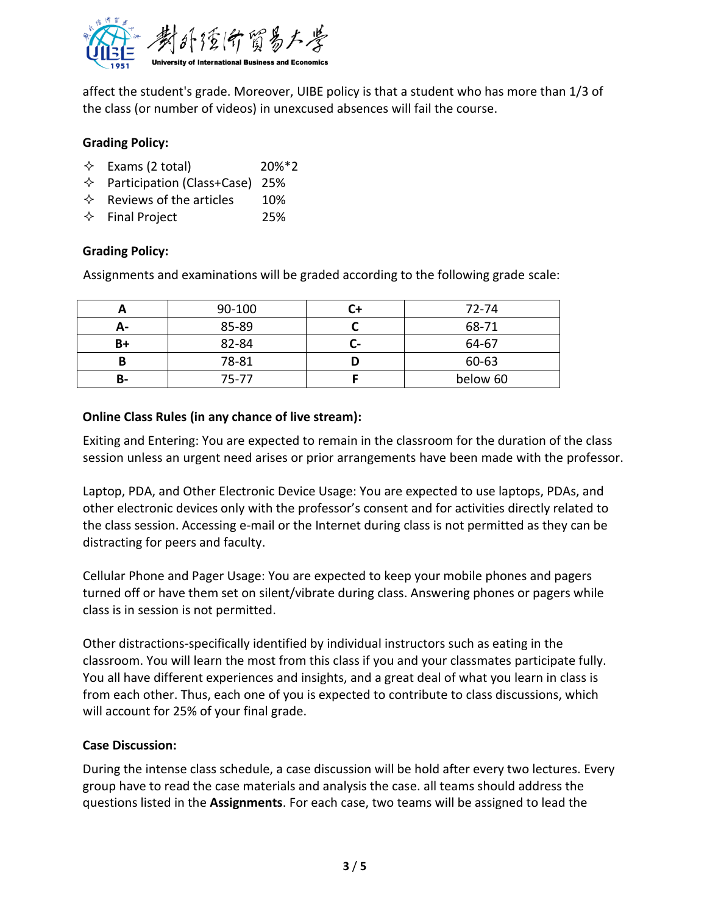

affect the student's grade. Moreover, UIBE policy is that a student who has more than 1/3 of the class (or number of videos) in unexcused absences will fail the course.

## **Grading Policy:**

- $\div$  Exams (2 total) 20%\*2
- $\Diamond$  Participation (Class+Case) 25%
- $\Leftrightarrow$  Reviews of the articles 10%
- $\Diamond$  Final Project 25%

## **Grading Policy:**

Assignments and examinations will be graded according to the following grade scale:

|    | 90-100 |        | 72-74    |
|----|--------|--------|----------|
| А- | 85-89  |        | 68-71    |
| B+ | 82-84  | $\sim$ | 64-67    |
| В  | 78-81  |        | 60-63    |
| В- | 75-77  |        | below 60 |

## **Online Class Rules (in any chance of live stream):**

Exiting and Entering: You are expected to remain in the classroom for the duration of the class session unless an urgent need arises or prior arrangements have been made with the professor.

Laptop, PDA, and Other Electronic Device Usage: You are expected to use laptops, PDAs, and other electronic devices only with the professor's consent and for activities directly related to the class session. Accessing e-mail or the Internet during class is not permitted as they can be distracting for peers and faculty.

Cellular Phone and Pager Usage: You are expected to keep your mobile phones and pagers turned off or have them set on silent/vibrate during class. Answering phones or pagers while class is in session is not permitted.

Other distractions-specifically identified by individual instructors such as eating in the classroom. You will learn the most from this class if you and your classmates participate fully. You all have different experiences and insights, and a great deal of what you learn in class is from each other. Thus, each one of you is expected to contribute to class discussions, which will account for 25% of your final grade.

## **Case Discussion:**

During the intense class schedule, a case discussion will be hold after every two lectures. Every group have to read the case materials and analysis the case. all teams should address the questions listed in the **Assignments**. For each case, two teams will be assigned to lead the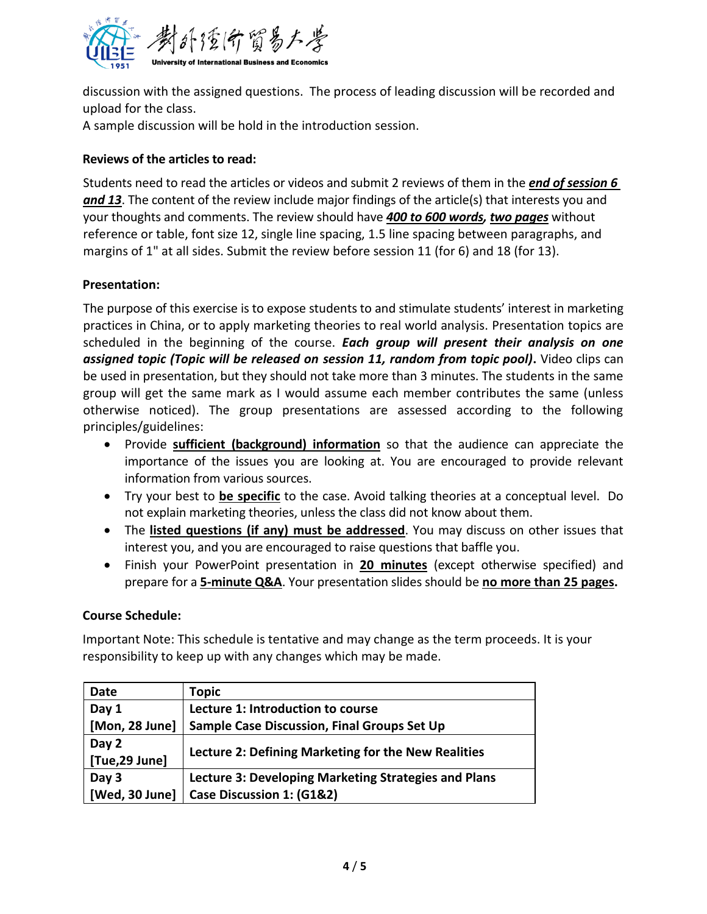

discussion with the assigned questions. The process of leading discussion will be recorded and upload for the class.

A sample discussion will be hold in the introduction session.

## **Reviews of the articles to read:**

Students need to read the articles or videos and submit 2 reviews of them in the *end of session 6 and 13*. The content of the review include major findings of the article(s) that interests you and your thoughts and comments. The review should have *400 to 600 words, two pages* without reference or table, font size 12, single line spacing, 1.5 line spacing between paragraphs, and margins of 1" at all sides. Submit the review before session 11 (for 6) and 18 (for 13).

## **Presentation:**

The purpose of this exercise is to expose students to and stimulate students' interest in marketing practices in China, or to apply marketing theories to real world analysis. Presentation topics are scheduled in the beginning of the course. *Each group will present their analysis on one assigned topic (Topic will be released on session 11, random from topic pool)***.** Video clips can be used in presentation, but they should not take more than 3 minutes. The students in the same group will get the same mark as I would assume each member contributes the same (unless otherwise noticed). The group presentations are assessed according to the following principles/guidelines:

- Provide **sufficient (background) information** so that the audience can appreciate the importance of the issues you are looking at. You are encouraged to provide relevant information from various sources.
- Try your best to **be specific** to the case. Avoid talking theories at a conceptual level. Do not explain marketing theories, unless the class did not know about them.
- The **listed questions (if any) must be addressed**. You may discuss on other issues that interest you, and you are encouraged to raise questions that baffle you.
- Finish your PowerPoint presentation in **20 minutes** (except otherwise specified) and prepare for a **5-minute Q&A**. Your presentation slides should be **no more than 25 pages.**

#### **Course Schedule:**

Important Note: This schedule is tentative and may change as the term proceeds. It is your responsibility to keep up with any changes which may be made.

| Date           | <b>Topic</b>                                         |  |
|----------------|------------------------------------------------------|--|
| Day 1          | Lecture 1: Introduction to course                    |  |
| [Mon, 28 June] | <b>Sample Case Discussion, Final Groups Set Up</b>   |  |
| Day 2          | Lecture 2: Defining Marketing for the New Realities  |  |
| [Tue,29 June]  |                                                      |  |
| Day 3          | Lecture 3: Developing Marketing Strategies and Plans |  |
| [Wed, 30 June] | Case Discussion 1: (G1&2)                            |  |